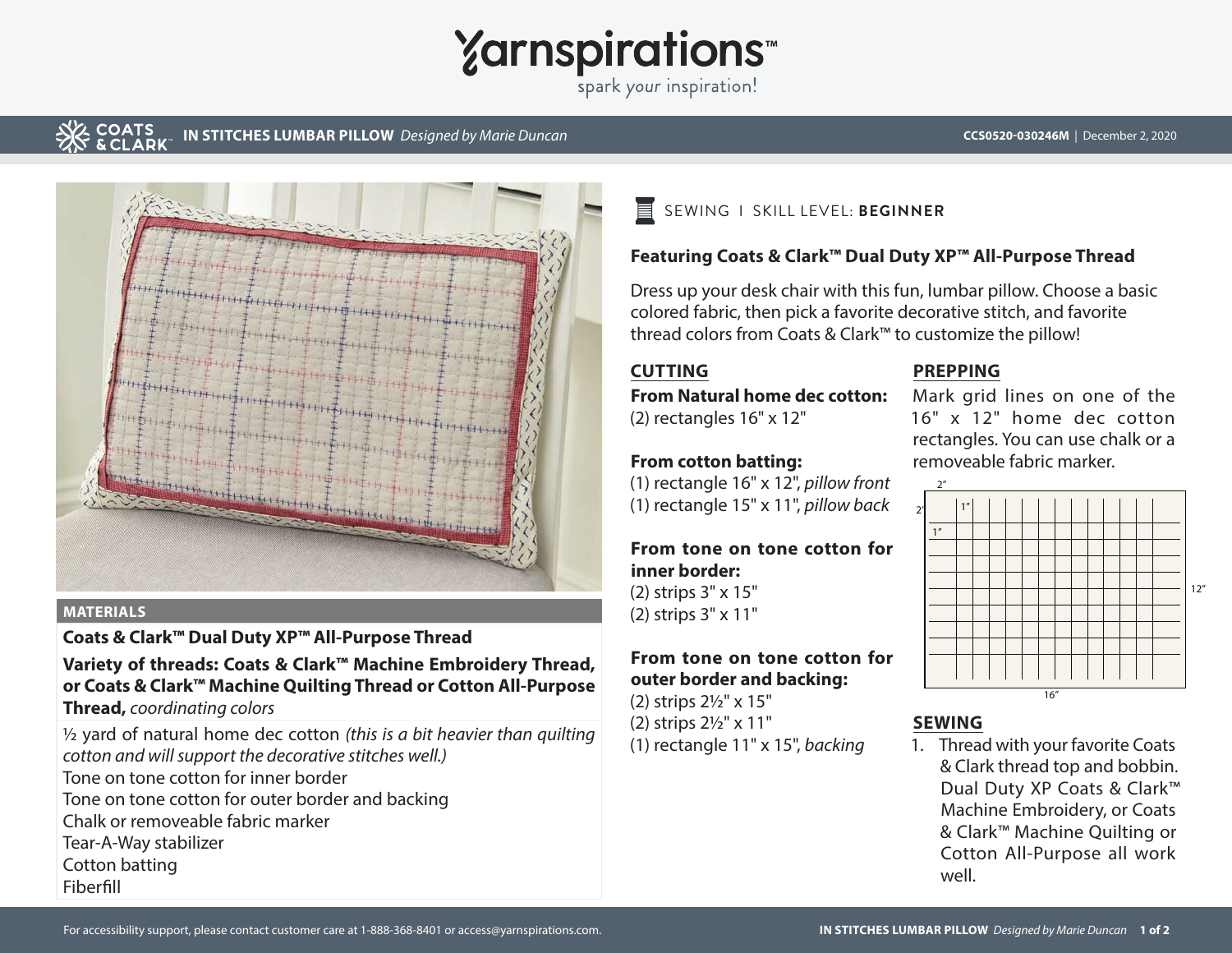

spark your inspiration!

# **COATS**

**IN STITCHES LUMBAR PILLOW** *Designed by Marie Duncan* **CCS0520-030246M CCS0520-030246M** | December 2, 2020



#### **MATERIALS**

**Coats & Clark™ Dual Duty XP™ All-Purpose Thread**

**Variety of threads: Coats & Clark™ Machine Embroidery Thread, or Coats & Clark™ Machine Quilting Thread or Cotton All-Purpose** 

**Thread,** *coordinating colors*

½ yard of natural home dec cotton *(this is a bit heavier than quilting cotton and will support the decorative stitches well.)* Tone on tone cotton for inner border

- Tone on tone cotton for outer border and backing
- Chalk or removeable fabric marker

Tear-A-Way stabilizer

Cotton batting Fiberfill

冒 SEWING I SKILL LEVEL: **BEGINNER**

### **Featuring Coats & Clark™ Dual Duty XP™ All-Purpose Thread**

Dress up your desk chair with this fun, lumbar pillow. Choose a basic colored fabric, then pick a favorite decorative stitch, and favorite thread colors from Coats & Clark™ to customize the pillow!

#### **CUTTING**

**From Natural home dec cotton:** (2) rectangles 16" x 12"

#### **From cotton batting:**

(1) rectangle 16" x 12", *pillow front* (1) rectangle 15" x 11", *pillow back*

#### **From tone on tone cotton for inner border:** (2) strips 3" x 15"

(2) strips 3" x 11"

## **From tone on tone cotton for outer border and backing:**

(2) strips 2½" x 15"

(2) strips 2½" x 11"

(1) rectangle 11" x 15", *backing*

#### **PREPPING**

Mark grid lines on one of the 16" x 12" home dec cotton rectangles. You can use chalk or a removeable fabric marker.



# **SEWING**

1. Thread with your favorite Coats & Clark thread top and bobbin. Dual Duty XP Coats & Clark™ Machine Embroidery, or Coats & Clark™ Machine Quilting or Cotton All-Purpose all work well.